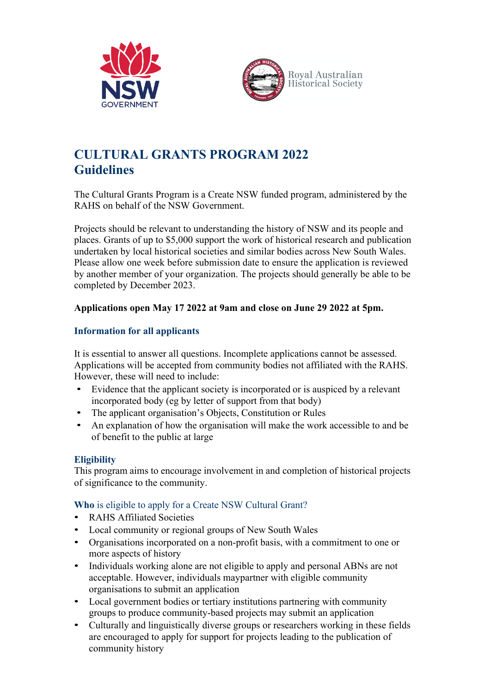



# **CULTURAL GRANTS PROGRAM 2022 Guidelines**

The Cultural Grants Program is a Create NSW funded program, administered by the RAHS on behalf of the NSW Government.

Projects should be relevant to understanding the history of NSW and its people and places. Grants of up to \$5,000 support the work of historical research and publication undertaken by local historical societies and similar bodies across New South Wales. Please allow one week before submission date to ensure the application is reviewed by another member of your organization. The projects should generally be able to be completed by December 2023.

# **Applications open May 17 2022 at 9am and close on June 29 2022 at 5pm.**

# **Information for all applicants**

It is essential to answer all questions. Incomplete applications cannot be assessed. Applications will be accepted from community bodies not affiliated with the RAHS. However, these will need to include:

- Evidence that the applicant society is incorporated or is auspiced by a relevant incorporated body (eg by letter of support from that body)
- The applicant organisation's Objects, Constitution or Rules
- An explanation of how the organisation will make the work accessible to and be of benefit to the public at large

# **Eligibility**

This program aims to encourage involvement in and completion of historical projects of significance to the community.

# **Who** is eligible to apply for a Create NSW Cultural Grant?

- RAHS Affiliated Societies
- Local community or regional groups of New South Wales
- Organisations incorporated on a non-profit basis, with a commitment to one or more aspects of history
- Individuals working alone are not eligible to apply and personal ABNs are not acceptable. However, individuals maypartner with eligible community organisations to submit an application
- Local government bodies or tertiary institutions partnering with community groups to produce community-based projects may submit an application
- Culturally and linguistically diverse groups or researchers working in these fields are encouraged to apply for support for projects leading to the publication of community history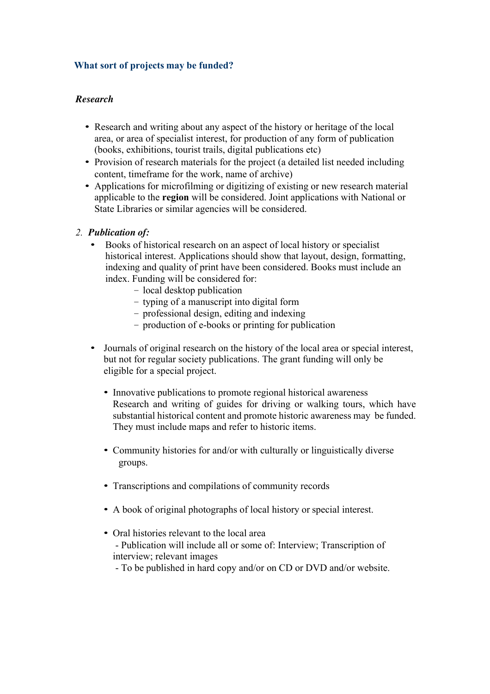# **What sort of projects may be funded?**

## *Research*

- Research and writing about any aspect of the history or heritage of the local area, or area of specialist interest, for production of any form of publication (books, exhibitions, tourist trails, digital publications etc)
- Provision of research materials for the project (a detailed list needed including content, timeframe for the work, name of archive)
- Applications for microfilming or digitizing of existing or new research material applicable to the **region** will be considered. Joint applications with National or State Libraries or similar agencies will be considered.

## *2. Publication of:*

- Books of historical research on an aspect of local history or specialist historical interest. Applications should show that layout, design, formatting, indexing and quality of print have been considered. Books must include an index. Funding will be considered for:
	- local desktop publication
	- typing of a manuscript into digital form
	- professional design, editing and indexing
	- production of e-books or printing for publication
- Journals of original research on the history of the local area or special interest, but not for regular society publications. The grant funding will only be eligible for a special project.
	- Innovative publications to promote regional historical awareness Research and writing of guides for driving or walking tours, which have substantial historical content and promote historic awareness may be funded. They must include maps and refer to historic items.
	- Community histories for and/or with culturally or linguistically diverse groups.
	- Transcriptions and compilations of community records
	- A book of original photographs of local history or special interest.
	- Oral histories relevant to the local area - Publication will include all or some of: Interview; Transcription of interview; relevant images
		- To be published in hard copy and/or on CD or DVD and/or website.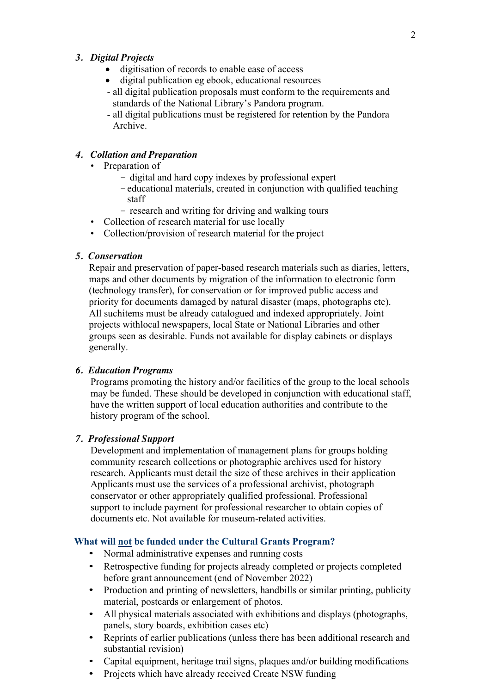## *3. Digital Projects*

- digitisation of records to enable ease of access
- digital publication eg ebook, educational resources
- all digital publication proposals must conform to the requirements and standards of the National Library's Pandora program.
- all digital publications must be registered for retention by the Pandora Archive.

## *4. Collation and Preparation*

- Preparation of
	- digital and hard copy indexes by professional expert
	- –educational materials, created in conjunction with qualified teaching staff
	- research and writing for driving and walking tours
- Collection of research material for use locally
- Collection/provision of research material for the project

### *5. Conservation*

Repair and preservation of paper-based research materials such as diaries, letters, maps and other documents by migration of the information to electronic form (technology transfer), for conservation or for improved public access and priority for documents damaged by natural disaster (maps, photographs etc). All suchitems must be already catalogued and indexed appropriately. Joint projects withlocal newspapers, local State or National Libraries and other groups seen as desirable. Funds not available for display cabinets or displays generally.

#### *6. Education Programs*

Programs promoting the history and/or facilities of the group to the local schools may be funded. These should be developed in conjunction with educational staff, have the written support of local education authorities and contribute to the history program of the school.

### *7. Professional Support*

Development and implementation of management plans for groups holding community research collections or photographic archives used for history research. Applicants must detail the size of these archives in their application Applicants must use the services of a professional archivist, photograph conservator or other appropriately qualified professional. Professional support to include payment for professional researcher to obtain copies of documents etc. Not available for museum-related activities.

#### **What will not be funded under the Cultural Grants Program?**

- Normal administrative expenses and running costs
- Retrospective funding for projects already completed or projects completed before grant announcement (end of November 2022)
- Production and printing of newsletters, handbills or similar printing, publicity material, postcards or enlargement of photos.
- All physical materials associated with exhibitions and displays (photographs, panels, story boards, exhibition cases etc)
- Reprints of earlier publications (unless there has been additional research and substantial revision)
- Capital equipment, heritage trail signs, plaques and/or building modifications
- Projects which have already received Create NSW funding